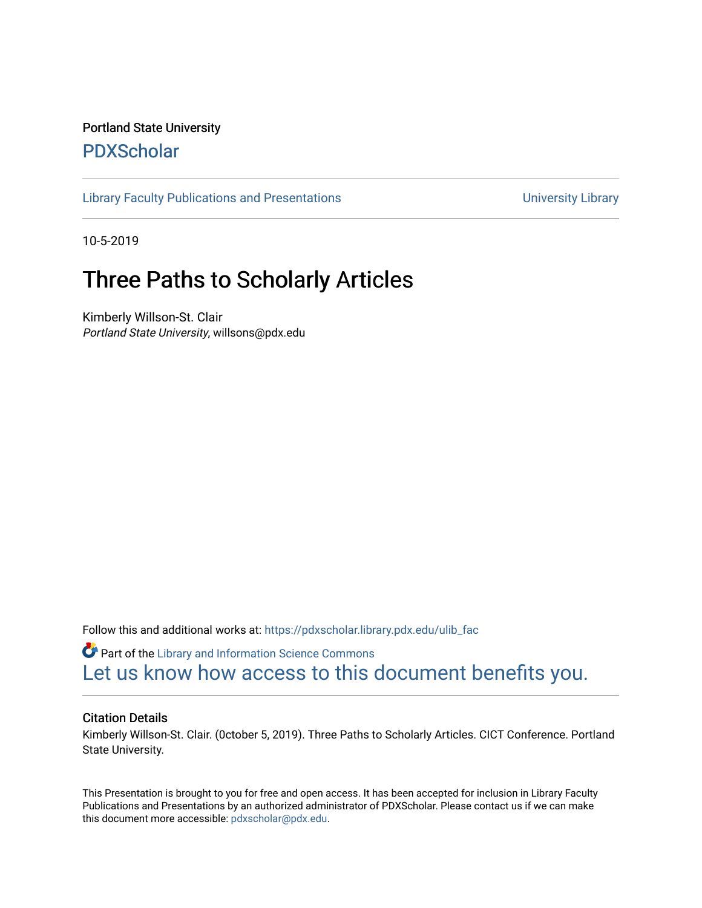#### Portland State University [PDXScholar](https://pdxscholar.library.pdx.edu/)

[Library Faculty Publications and Presentations](https://pdxscholar.library.pdx.edu/ulib_fac) **Exercise 20 and Exercise 20 and Presentations** University Library

10-5-2019

#### Three Paths to Scholarly Articles

Kimberly Willson-St. Clair Portland State University, willsons@pdx.edu

Follow this and additional works at: [https://pdxscholar.library.pdx.edu/ulib\\_fac](https://pdxscholar.library.pdx.edu/ulib_fac?utm_source=pdxscholar.library.pdx.edu%2Fulib_fac%2F298&utm_medium=PDF&utm_campaign=PDFCoverPages) 

Part of the [Library and Information Science Commons](http://network.bepress.com/hgg/discipline/1018?utm_source=pdxscholar.library.pdx.edu%2Fulib_fac%2F298&utm_medium=PDF&utm_campaign=PDFCoverPages)  [Let us know how access to this document benefits you.](http://library.pdx.edu/services/pdxscholar-services/pdxscholar-feedback/?ref=https://pdxscholar.library.pdx.edu/ulib_fac/298) 

#### Citation Details

Kimberly Willson-St. Clair. (0ctober 5, 2019). Three Paths to Scholarly Articles. CICT Conference. Portland State University.

This Presentation is brought to you for free and open access. It has been accepted for inclusion in Library Faculty Publications and Presentations by an authorized administrator of PDXScholar. Please contact us if we can make this document more accessible: [pdxscholar@pdx.edu.](mailto:pdxscholar@pdx.edu)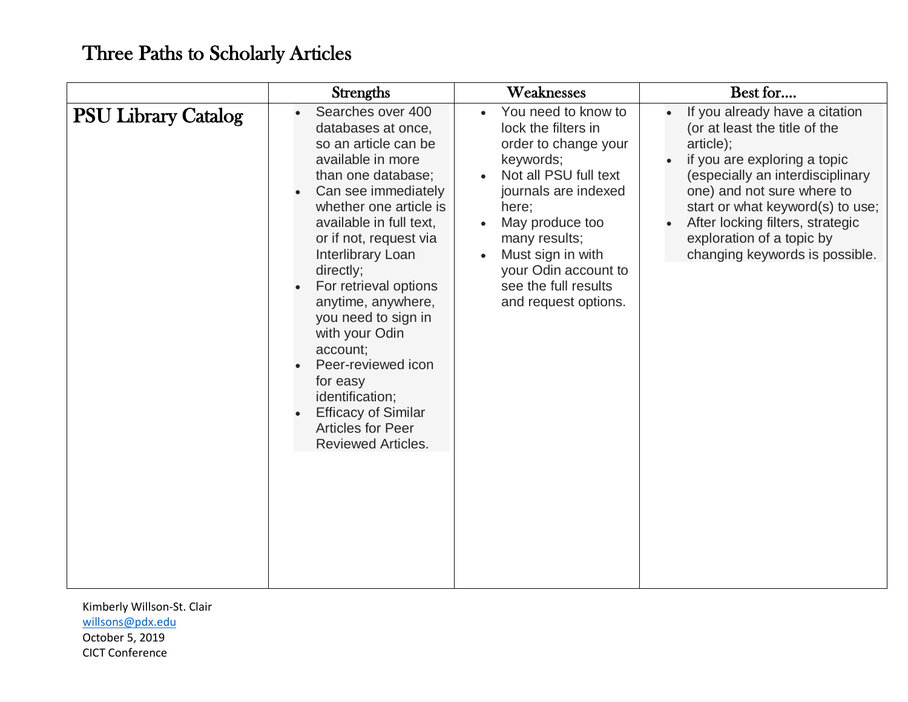|                            | <b>Strengths</b>                                                                                                                                                                                                                                                                                                                                                                                                                                                                                   | Weaknesses                                                                                                                                                                                                                                                                 | Best for                                                                                                                                                                                                                                                                                                              |
|----------------------------|----------------------------------------------------------------------------------------------------------------------------------------------------------------------------------------------------------------------------------------------------------------------------------------------------------------------------------------------------------------------------------------------------------------------------------------------------------------------------------------------------|----------------------------------------------------------------------------------------------------------------------------------------------------------------------------------------------------------------------------------------------------------------------------|-----------------------------------------------------------------------------------------------------------------------------------------------------------------------------------------------------------------------------------------------------------------------------------------------------------------------|
| <b>PSU Library Catalog</b> | Searches over 400<br>databases at once,<br>so an article can be<br>available in more<br>than one database;<br>Can see immediately<br>whether one article is<br>available in full text,<br>or if not, request via<br>Interlibrary Loan<br>directly;<br>For retrieval options<br>anytime, anywhere,<br>you need to sign in<br>with your Odin<br>account;<br>Peer-reviewed icon<br>for easy<br>identification;<br><b>Efficacy of Similar</b><br><b>Articles for Peer</b><br><b>Reviewed Articles.</b> | You need to know to<br>lock the filters in<br>order to change your<br>keywords;<br>Not all PSU full text<br>journals are indexed<br>here;<br>May produce too<br>many results;<br>Must sign in with<br>your Odin account to<br>see the full results<br>and request options. | If you already have a citation<br>(or at least the title of the<br>article);<br>if you are exploring a topic<br>(especially an interdisciplinary<br>one) and not sure where to<br>start or what keyword(s) to use;<br>After locking filters, strategic<br>exploration of a topic by<br>changing keywords is possible. |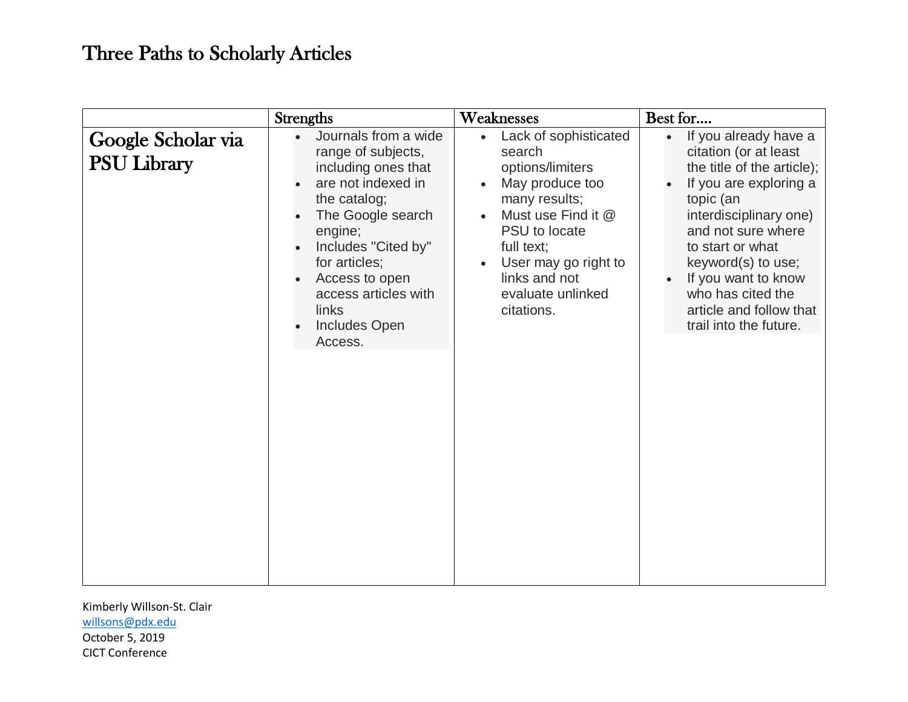|                                          | <b>Strengths</b>                                                                                                                                                                                                                                                                   | Weaknesses                                                                                                                                                                                                                                                      | Best for                                                                                                                                                                                                                                                                                                       |
|------------------------------------------|------------------------------------------------------------------------------------------------------------------------------------------------------------------------------------------------------------------------------------------------------------------------------------|-----------------------------------------------------------------------------------------------------------------------------------------------------------------------------------------------------------------------------------------------------------------|----------------------------------------------------------------------------------------------------------------------------------------------------------------------------------------------------------------------------------------------------------------------------------------------------------------|
| Google Scholar via<br><b>PSU Library</b> | Journals from a wide<br>$\bullet$<br>range of subjects,<br>including ones that<br>are not indexed in<br>the catalog;<br>The Google search<br>engine;<br>Includes "Cited by"<br>for articles;<br>Access to open<br>access articles with<br>links<br><b>Includes Open</b><br>Access. | Lack of sophisticated<br>$\bullet$<br>search<br>options/limiters<br>May produce too<br>$\bullet$<br>many results;<br>Must use Find it @<br>PSU to locate<br>full text;<br>User may go right to<br>$\bullet$<br>links and not<br>evaluate unlinked<br>citations. | If you already have a<br>citation (or at least<br>the title of the article);<br>If you are exploring a<br>topic (an<br>interdisciplinary one)<br>and not sure where<br>to start or what<br>keyword(s) to use;<br>If you want to know<br>who has cited the<br>article and follow that<br>trail into the future. |